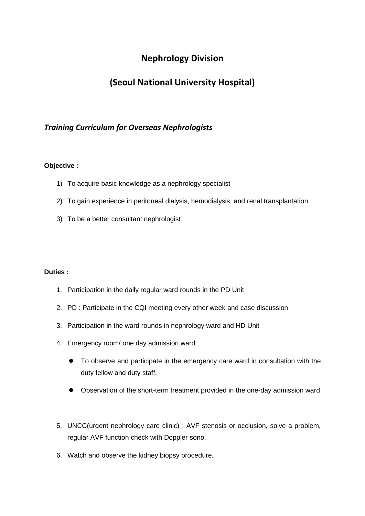## **Nephrology Division**

# **(Seoul National University Hospital)**

## *Training Curriculum for Overseas Nephrologists*

### **Objective :**

- 1) To acquire basic knowledge as a nephrology specialist
- 2) To gain experience in peritoneal dialysis, hemodialysis, and renal transplantation
- 3) To be a better consultant nephrologist

#### **Duties :**

- 1. Participation in the daily regular ward rounds in the PD Unit
- 2. PD : Participate in the CQI meeting every other week and case discussion
- 3. Participation in the ward rounds in nephrology ward and HD Unit
- 4. Emergency room/ one day admission ward
	- To observe and participate in the emergency care ward in consultation with the duty fellow and duty staff.
	- Observation of the short-term treatment provided in the one-day admission ward
- 5. UNCC(urgent nephrology care clinic) : AVF stenosis or occlusion, solve a problem, regular AVF function check with Doppler sono.
- 6. Watch and observe the kidney biopsy procedure.